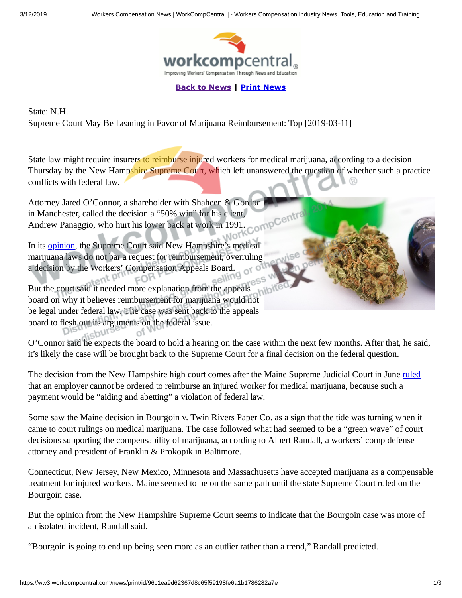

**[Back to News](https://ww3.workcompcentral.com/news/story/id/96c1ea9d62367d8c65f59198fe6a1b1786282a7e) | [Print News](javascript:self.print();)**

State: N.H. Supreme Court May Be Leaning in Favor of Marijuana Reimbursement: Top [2019-03-11]

State law might require insurers to reimburse injured workers for medical marijuana, according to a decision Thursday by the New Hampshire Supreme Court, which left unanswered the question of whether such a practice conflicts with federal law.  $R$ 

**Work** 

Attorney Jared O'Connor, a shareholder with Shaheen & Gordon in Manchester, called the decision a "50% win" for his client, CompCer Andrew Panaggio, who hurt his lower back at work in 1991.

In its [opinion](http://www.courts.state.nh.us/supreme/opinions/2019/2019017panaggio.pdf), the Supreme Court said New Hampshire's medical marijuana laws do not bar a request for reimbursement, overruling a decision by the Workers' Compensation Appeals Board.  $\gamma_{\rm O}$  $EOR$ 

 $m_{\rm gal}$ 

But the court said it needed more explanation from the appeals board on why it believes reimbursement for marijuana would not be legal under federal law. The case was sent back to the appeals board to flesh out its arguments on the federal issue. **UUC** 

O'Connor said he expects the board to hold a hearing on the case within the next few months. After that, he said, it's likely the case will be brought back to the Supreme Court for a final decision on the federal question.

The decision from the New Hampshire high court comes after the Maine Supreme Judicial Court in June [ruled](http://www.workcompcentral.com/news/article/id/d334830eb1ae53559bcdce60b58a3aebdde73d8a) that an employer cannot be ordered to reimburse an injured worker for medical marijuana, because such a payment would be "aiding and abetting" a violation of federal law.

Some saw the Maine decision in Bourgoin v. Twin Rivers Paper Co. as a sign that the tide was turning when it came to court rulings on medical marijuana. The case followed what had seemed to be a "green wave" of court decisions supporting the compensability of marijuana, according to Albert Randall, a workers' comp defense attorney and president of Franklin & Prokopik in Baltimore.

Connecticut, New Jersey, New Mexico, Minnesota and Massachusetts have accepted marijuana as a compensable treatment for injured workers. Maine seemed to be on the same path until the state Supreme Court ruled on the Bourgoin case.

But the opinion from the New Hampshire Supreme Court seems to indicate that the Bourgoin case was more of an isolated incident, Randall said.

"Bourgoin is going to end up being seen more as an outlier rather than a trend," Randall predicted.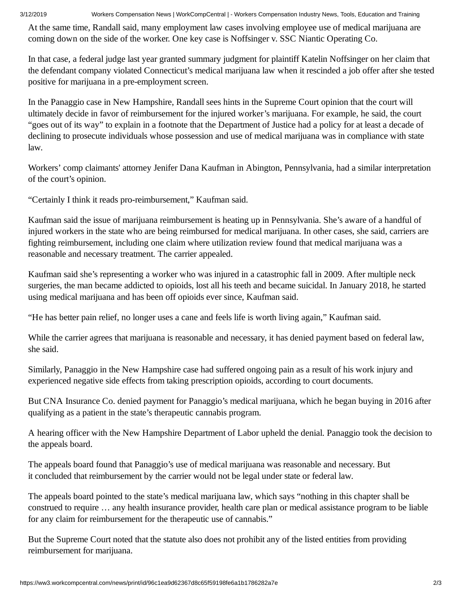3/12/2019 Workers Compensation News | WorkCompCentral | - Workers Compensation Industry News, Tools, Education and Training

At the same time, Randall said, many employment law cases involving employee use of medical marijuana are coming down on the side of the worker. One key case is Noffsinger v. SSC Niantic Operating Co.

In that case, a federal judge last year granted summary judgment for plaintiff Katelin Noffsinger on her claim that the defendant company violated Connecticut's medical marijuana law when it rescinded a job offer after she tested positive for marijuana in a pre-employment screen.

In the Panaggio case in New Hampshire, Randall sees hints in the Supreme Court opinion that the court will ultimately decide in favor of reimbursement for the injured worker's marijuana. For example, he said, the court "goes out of its way" to explain in a footnote that the Department of Justice had a policy for at least a decade of declining to prosecute individuals whose possession and use of medical marijuana was in compliance with state law.

Workers' comp claimants' attorney Jenifer Dana Kaufman in Abington, Pennsylvania, had a similar interpretation of the court's opinion.

"Certainly I think it reads pro-reimbursement," Kaufman said.

Kaufman said the issue of marijuana reimbursement is heating up in Pennsylvania. She's aware of a handful of injured workers in the state who are being reimbursed for medical marijuana. In other cases, she said, carriers are fighting reimbursement, including one claim where utilization review found that medical marijuana was a reasonable and necessary treatment. The carrier appealed.

Kaufman said she's representing a worker who was injured in a catastrophic fall in 2009. After multiple neck surgeries, the man became addicted to opioids, lost all his teeth and became suicidal. In January 2018, he started using medical marijuana and has been off opioids ever since, Kaufman said.

"He has better pain relief, no longer uses a cane and feels life is worth living again," Kaufman said.

While the carrier agrees that marijuana is reasonable and necessary, it has denied payment based on federal law, she said.

Similarly, Panaggio in the New Hampshire case had suffered ongoing pain as a result of his work injury and experienced negative side effects from taking prescription opioids, according to court documents.

But CNA Insurance Co. denied payment for Panaggio's medical marijuana, which he began buying in 2016 after qualifying as a patient in the state's therapeutic cannabis program.

A hearing officer with the New Hampshire Department of Labor upheld the denial. Panaggio took the decision to the appeals board.

The appeals board found that Panaggio's use of medical marijuana was reasonable and necessary. But it concluded that reimbursement by the carrier would not be legal under state or federal law.

The appeals board pointed to the state's medical marijuana law, which says "nothing in this chapter shall be construed to require … any health insurance provider, health care plan or medical assistance program to be liable for any claim for reimbursement for the therapeutic use of cannabis."

But the Supreme Court noted that the statute also does not prohibit any of the listed entities from providing reimbursement for marijuana.